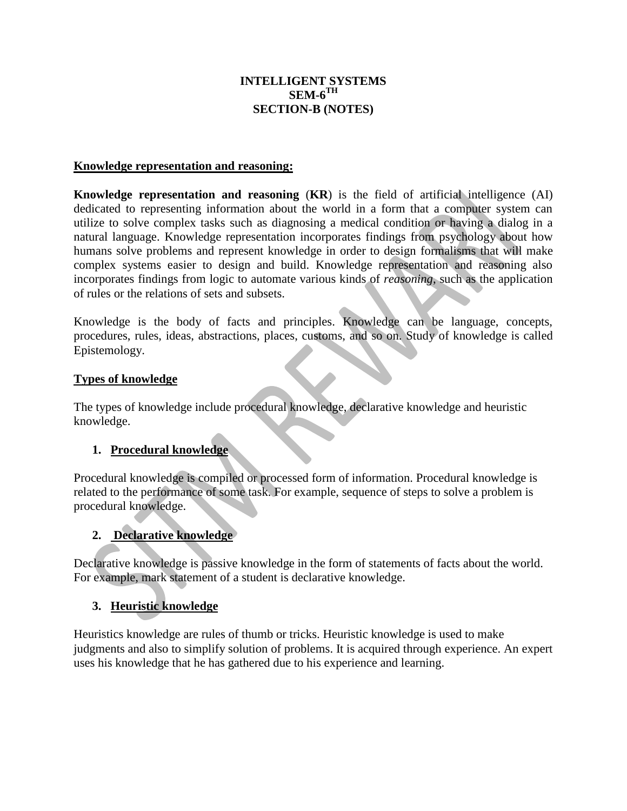## **INTELLIGENT SYSTEMS**  $\mathbf{SEM}\text{-}\mathbf{6}^{\text{TH}}$ **SECTION-B (NOTES)**

#### **Knowledge representation and reasoning:**

**Knowledge representation and reasoning** (**KR**) is the field of [artificial intelligence](https://en.wikipedia.org/wiki/Artificial_intelligence) (AI) dedicated to representing information about the world in a form that a computer system can utilize to solve complex tasks such as diagnosing a medical condition or having a dialog in a [natural language.](https://en.wikipedia.org/wiki/Natural_language) Knowledge representation incorporates findings from psychology about how humans solve problems and represent knowledge in order to design [formalisms](https://en.wikipedia.org/wiki/Formalism_%28mathematics%29) that will make complex systems easier to design and build. Knowledge representation and reasoning also incorporates findings from [logic](https://en.wikipedia.org/wiki/Logic) to automate various kinds of *reasoning*, such as the application of rules or the relations of [sets](https://en.wikipedia.org/wiki/Set_theory) and [subsets.](https://en.wikipedia.org/wiki/Subset)

Knowledge is the body of facts and principles. Knowledge can be language, concepts, procedures, rules, ideas, abstractions, places, customs, and so on. Study of knowledge is called Epistemology.

#### **Types of knowledge**

The types of knowledge include procedural knowledge, declarative knowledge and heuristic knowledge.

## **1. Procedural knowledge**

Procedural knowledge is compiled or processed form of information. Procedural knowledge is related to the performance of some task. For example, sequence of steps to solve a problem is procedural knowledge.

## **2. Declarative knowledge**

Declarative knowledge is passive knowledge in the form of statements of facts about the world. For example, mark statement of a student is declarative knowledge.

## **3. Heuristic knowledge**

Heuristics knowledge are rules of thumb or tricks. Heuristic knowledge is used to make judgments and also to simplify solution of problems. It is acquired through experience. An expert uses his knowledge that he has gathered due to his experience and learning.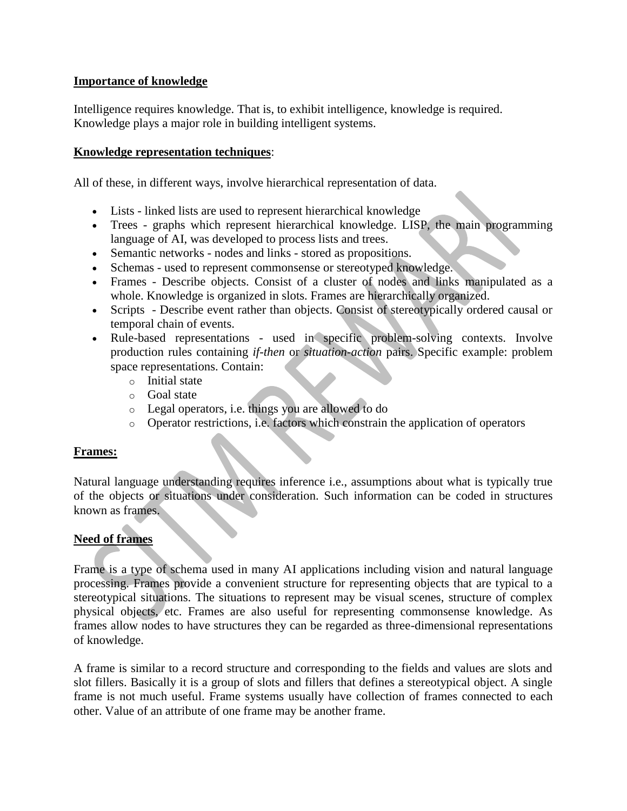#### **Importance of knowledge**

Intelligence requires knowledge. That is, to exhibit intelligence, knowledge is required. Knowledge plays a major role in building intelligent systems.

#### **Knowledge representation techniques**:

All of these, in different ways, involve hierarchical representation of data.

- Lists linked lists are used to represent hierarchical knowledge
- Trees graphs which represent hierarchical knowledge. LISP, the main programming language of AI, was developed to process lists and trees.
- Semantic networks nodes and links stored as propositions.
- Schemas used to represent commonsense or stereotyped knowledge.
- Frames Describe objects. Consist of a cluster of nodes and links manipulated as a whole. Knowledge is organized in slots. Frames are hierarchically organized.
- Scripts Describe event rather than objects. Consist of stereotypically ordered causal or temporal chain of events.
- Rule-based representations used in specific problem-solving contexts. Involve production rules containing *if-then* or *situation-action* pairs. Specific example: problem space representations. Contain:
	- o Initial state
	- o Goal state
	- o Legal operators, i.e. things you are allowed to do
	- o Operator restrictions, i.e. factors which constrain the application of operators

#### **Frames:**

Natural language understanding requires inference i.e., assumptions about what is typically true of the objects or situations under consideration. Such information can be coded in structures known as frames.

## **Need of frames**

Frame is a type of schema used in many [AI](http://intelligence.worldofcomputing.net/ai-introduction/artificial-intelligence-overview.html) applications including vision and [natural language](http://language.worldofcomputing.net/nlp-overview/natural-language-processing-overview.html)  [processing.](http://language.worldofcomputing.net/nlp-overview/natural-language-processing-overview.html) Frames provide a convenient structure for representing objects that are typical to a stereotypical situations. The situations to represent may be visual scenes, structure of complex physical objects, etc. Frames are also useful for representing commonsense knowledge. As frames allow nodes to have structures they can be regarded as three-dimensional representations of knowledge.

A frame is similar to a record structure and corresponding to the fields and values are slots and slot fillers. Basically it is a group of slots and fillers that defines a stereotypical object. A single frame is not much useful. Frame systems usually have collection of frames connected to each other. Value of an attribute of one frame may be another frame.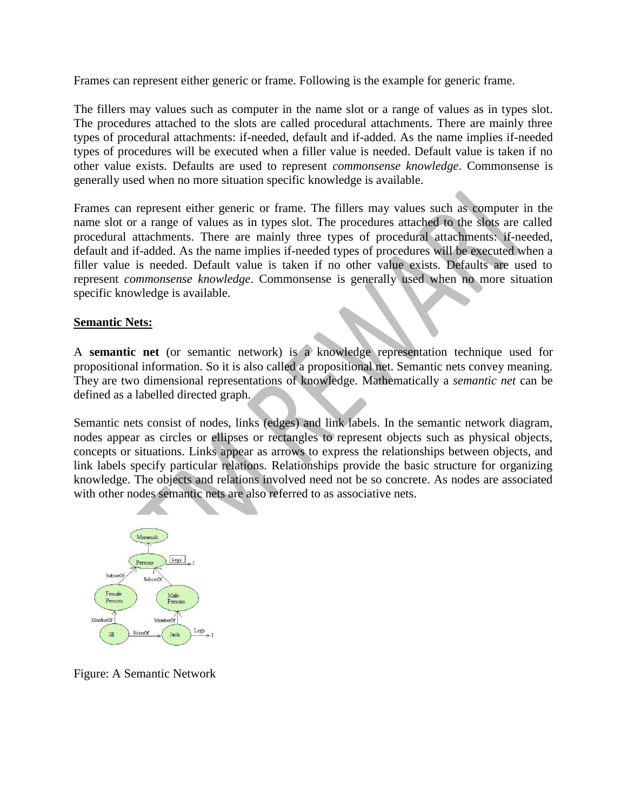Frames can represent either generic or frame. Following is the example for generic frame.

The fillers may values such as [computer](http://www.worldofcomputing.net/basics/what-is-computer.html) in the name slot or a range of values as in types slot. The procedures attached to the slots are called procedural attachments. There are mainly three types of procedural attachments: if-needed, default and if-added. As the name implies if-needed types of procedures will be executed when a filler value is needed. Default value is taken if no other value exists. Defaults are used to represent *commonsense knowledge*. Commonsense is generally used when no more situation specific knowledge is available.

Frames can represent either generic or frame. The fillers may values such as [computer](http://www.worldofcomputing.net/basics/what-is-computer.html) in the name slot or a range of values as in types slot. The procedures attached to the slots are called procedural attachments. There are mainly three types of procedural attachments: if-needed, default and if-added. As the name implies if-needed types of procedures will be executed when a filler value is needed. Default value is taken if no other value exists. Defaults are used to represent *commonsense knowledge*. Commonsense is generally used when no more situation specific knowledge is available.

#### **[Semantic Nets:](http://intelligence.worldofcomputing.net/knowledge-representation/semantic-nets.html)**

A **semantic net** (or semantic network) is a [knowledge representation technique](http://intelligence.worldofcomputing.net/knowledge-representation) used for propositional information. So it is also called a propositional net. Semantic nets convey meaning. They are two dimensional representations of [knowledge.](http://intelligence.worldofcomputing.net/knowledge-representation/intelligence.worldofcomputing.net/knowledge-representation/what-is-knowledge.html) Mathematically a *semantic net* can be defined as a labelled directed graph.

Semantic nets consist of nodes, links (edges) and link labels. In the semantic network diagram, nodes appear as circles or ellipses or rectangles to represent objects such as physical objects, concepts or situations. Links appear as arrows to express the relationships between objects, and link labels specify particular relations. Relationships provide the basic structure for organizing [knowledge.](http://intelligence.worldofcomputing.net/knowledge-representation/intelligence.worldofcomputing.net/knowledge-representation/what-is-knowledge.html) The objects and relations involved need not be so concrete. As nodes are associated with other nodes semantic nets are also referred to as associative nets.



Figure: A Semantic Network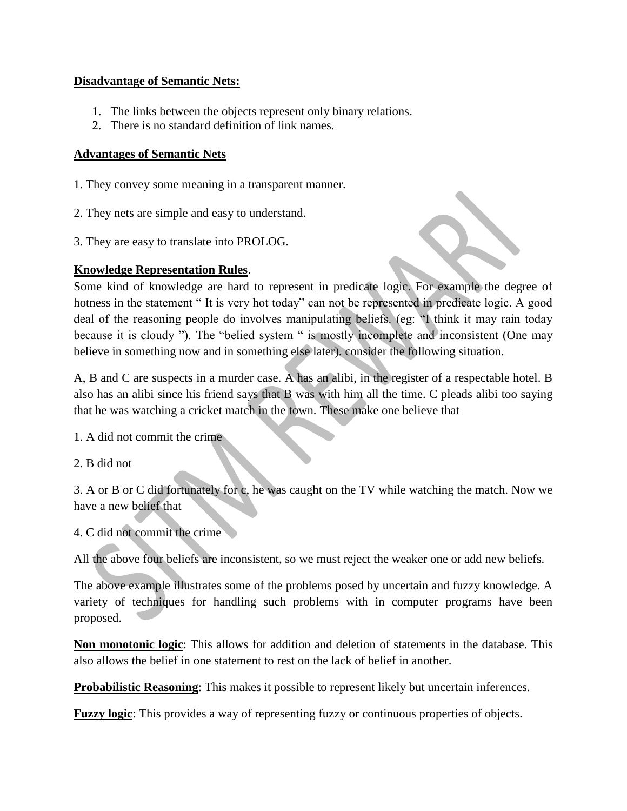#### **Disadvantage of Semantic Nets:**

- 1. The links between the objects represent only binary relations.
- 2. There is no standard definition of link names.

#### **Advantages of Semantic Nets**

- 1. They convey some meaning in a transparent manner.
- 2. They nets are simple and easy to understand.
- 3. They are easy to translate into PROLOG.

#### **Knowledge Representation Rules**.

Some kind of knowledge are hard to represent in predicate logic. For example the degree of hotness in the statement "It is very hot today" can not be represented in predicate logic. A good deal of the reasoning people do involves manipulating beliefs. (eg: "I think it may rain today because it is cloudy "). The "belied system " is mostly incomplete and inconsistent (One may believe in something now and in something else later). consider the following situation.

A, B and C are suspects in a murder case. A has an alibi, in the register of a respectable hotel. B also has an alibi since his friend says that B was with him all the time. C pleads alibi too saying that he was watching a cricket match in the town. These make one believe that

- 1. A did not commit the crime
- 2. B did not

3. A or B or C did fortunately for c, he was caught on the TV while watching the match. Now we have a new belief that

4. C did not commit the crime

All the above four beliefs are inconsistent, so we must reject the weaker one or add new beliefs.

The above example illustrates some of the problems posed by uncertain and fuzzy knowledge. A variety of techniques for handling such problems with in computer programs have been proposed.

**Non monotonic logic**: This allows for addition and deletion of statements in the database. This also allows the belief in one statement to rest on the lack of belief in another.

**Probabilistic Reasoning:** This makes it possible to represent likely but uncertain inferences.

**Fuzzy logic**: This provides a way of representing fuzzy or continuous properties of objects.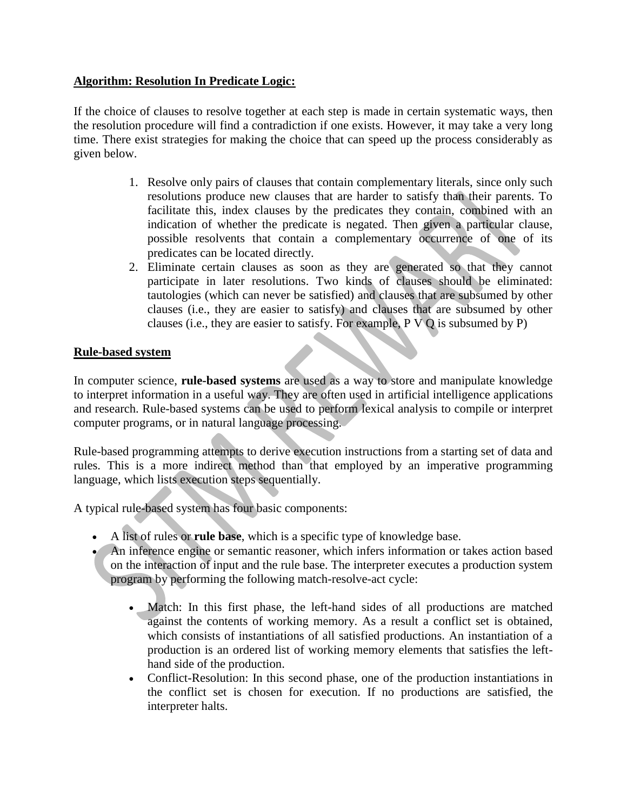## **Algorithm: Resolution In Predicate Logic:**

If the choice of clauses to resolve together at each step is made in certain systematic ways, then the resolution procedure will find a contradiction if one exists. However, it may take a very long time. There exist strategies for making the choice that can speed up the process considerably as given below.

- 1. Resolve only pairs of clauses that contain complementary literals, since only such resolutions produce new clauses that are harder to satisfy than their parents. To facilitate this, index clauses by the predicates they contain, combined with an indication of whether the predicate is negated. Then given a particular clause, possible resolvents that contain a complementary occurrence of one of its predicates can be located directly.
- 2. Eliminate certain clauses as soon as they are generated so that they cannot participate in later resolutions. Two kinds of clauses should be eliminated: tautologies (which can never be satisfied) and clauses that are subsumed by other clauses (i.e., they are easier to satisfy) and clauses that are subsumed by other clauses (i.e., they are easier to satisfy. For example, P V Q is subsumed by P)

## **Rule-based system**

In [computer science,](https://en.wikipedia.org/wiki/Computer_science) **rule-based systems** are used as a way to store and manipulate knowledge to interpret information in a useful way. They are often used in [artificial intelligence](https://en.wikipedia.org/wiki/Artificial_intelligence) applications and research. Rule-based systems can be used to perform [lexical analysis](https://en.wikipedia.org/wiki/Lexical_analysis) to [compile](https://en.wikipedia.org/wiki/Compiler) or interpret computer programs, or in [natural language processing.](https://en.wikipedia.org/wiki/Natural_language_processing)

[Rule-based programming](https://en.wikipedia.org/wiki/Rule-based_programming) attempts to derive execution instructions from a starting set of data and rules. This is a more indirect method than that employed by an [imperative programming](https://en.wikipedia.org/wiki/Imperative_programming_language)  [language,](https://en.wikipedia.org/wiki/Imperative_programming_language) which lists execution steps sequentially.

A typical rule-based system has four basic components:

- A list of rules or **rule base**, which is a specific type of [knowledge base.](https://en.wikipedia.org/wiki/Knowledge_base)
- An [inference engine](https://en.wikipedia.org/wiki/Inference_engine) or [semantic reasoner,](https://en.wikipedia.org/wiki/Semantic_reasoner) which infers information or takes action based on the interaction of input and the rule base. The interpreter executes a [production system](https://en.wikipedia.org/wiki/Production_system_%28computer_science%29) program by performing the following match-resolve-act cycle:
	- Match: In this first phase, the left-hand sides of all productions are matched against the contents of working memory. As a result a conflict set is obtained, which consists of instantiations of all satisfied productions. An instantiation of a production is an ordered list of working memory elements that satisfies the lefthand side of the production.
	- Conflict-Resolution: In this second phase, one of the production instantiations in the conflict set is chosen for execution. If no productions are satisfied, the interpreter halts.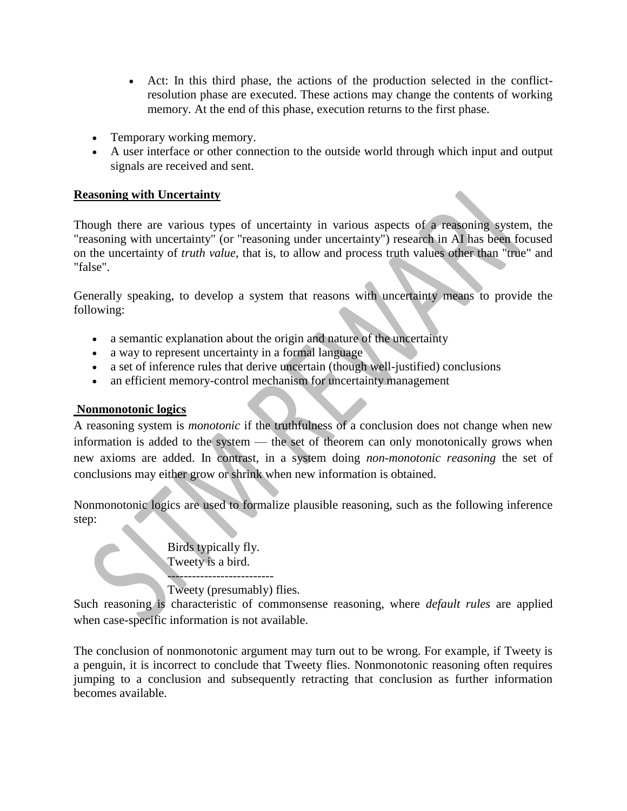- Act: In this third phase, the actions of the production selected in the conflictresolution phase are executed. These actions may change the contents of working memory. At the end of this phase, execution returns to the first phase.
- Temporary [working memory.](https://en.wikipedia.org/wiki/Working_memory)
- A [user interface](https://en.wikipedia.org/wiki/User_interface) or other connection to the outside world through which input and output signals are received and sent.

## **Reasoning with Uncertainty**

Though there are [various types of uncertainty](https://cis.temple.edu/~wangp/3203-AI/Lecture/Reasoning-3.htm) in various aspects of a reasoning system, the "reasoning with uncertainty" (or "reasoning under uncertainty") research in AI has been focused on the uncertainty of *truth value*, that is, to allow and process truth values other than "true" and "false".

Generally speaking, to develop a system that reasons with uncertainty means to provide the following:

- a semantic explanation about the origin and nature of the uncertainty
- a way to represent uncertainty in a formal language
- a set of inference rules that derive uncertain (though well-justified) conclusions
- an efficient memory-control mechanism for uncertainty management

# **Nonmonotonic logics**

A reasoning system is *monotonic* if the truthfulness of a conclusion does not change when new information is added to the system — the set of theorem can only monotonically grows when new axioms are added. In contrast, in a system doing *[non-monotonic reasoning](http://artint.info/html/ArtInt_129.html)* the set of conclusions may either grow or shrink when new information is obtained.

Nonmonotonic logics are used to formalize plausible reasoning, such as the following inference step:

> Birds typically fly. Tweety is a bird.

-------------------------- Tweety (presumably) flies.

Such reasoning is characteristic of commonsense reasoning, where *default rules* are applied when case-specific information is not available.

The conclusion of nonmonotonic argument may turn out to be wrong. For example, if Tweety is a penguin, it is incorrect to conclude that Tweety flies. Nonmonotonic reasoning often requires jumping to a conclusion and subsequently retracting that conclusion as further information becomes available.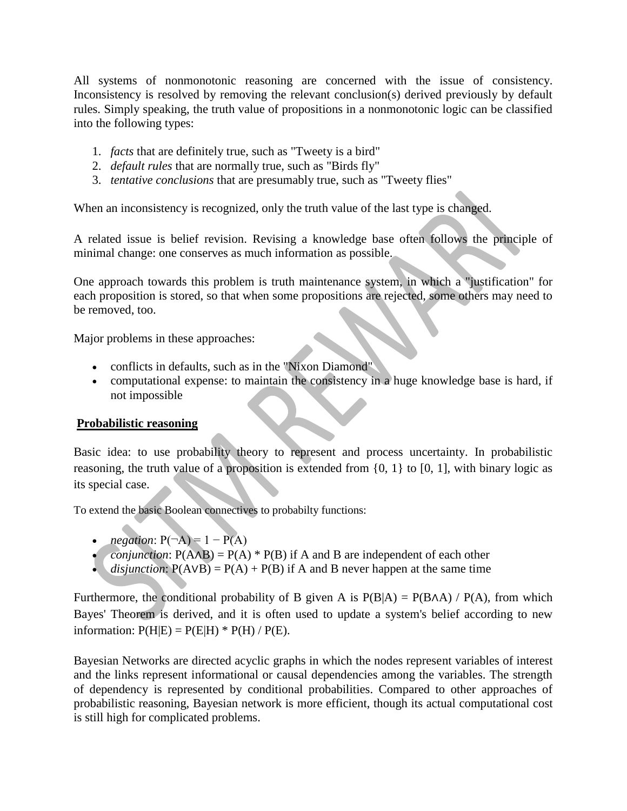All systems of nonmonotonic reasoning are concerned with the issue of consistency. Inconsistency is resolved by removing the relevant conclusion(s) derived previously by default rules. Simply speaking, the truth value of propositions in a nonmonotonic logic can be classified into the following types:

- 1. *facts* that are definitely true, such as "Tweety is a bird"
- 2. *default rules* that are normally true, such as "Birds fly"
- 3. *tentative conclusions* that are presumably true, such as "Tweety flies"

When an inconsistency is recognized, only the truth value of the last type is changed.

A related issue is [belief revision.](http://en.wikipedia.org/wiki/Belief_revision) Revising a knowledge base often follows the principle of minimal change: one conserves as much information as possible.

One approach towards this problem is [truth maintenance system,](http://en.wikipedia.org/wiki/Reason_maintenance) in which a "justification" for each proposition is stored, so that when some propositions are rejected, some others may need to be removed, too.

Major problems in these approaches:

- conflicts in defaults, such as in the ["Nixon Diamond"](http://en.wikipedia.org/wiki/Nixon_diamond)
- computational expense: to maintain the consistency in a huge knowledge base is hard, if not impossible

## **Probabilistic reasoning**

Basic idea: to use probability theory to represent and process uncertainty. In probabilistic reasoning, the truth value of a proposition is extended from  $\{0, 1\}$  to  $\{0, 1\}$ , with binary logic as its special case.

To extend the basic [Boolean connectives](https://cis.temple.edu/~wangp/3203-AI/Lecture/Reasoning-1.htm) to probabilty functions:

- *negation*:  $P(\neg A) = 1 P(A)$
- *conjunction*:  $P(A \wedge B) = P(A) * P(B)$  if A and B are independent of each other
- *disjunction*:  $P(A \vee B) = P(A) + P(B)$  if A and B never happen at the same time

Furthermore, the conditional probability of B given A is  $P(B|A) = P(B \cap A) / P(A)$ , from which [Bayes' Theorem](http://en.wikipedia.org/wiki/Bayes%27_theorem) is derived, and it is often used to update a system's belief according to new information:  $P(H|E) = P(E|H) * P(H) / P(E)$ .

[Bayesian Networks](http://en.wikipedia.org/wiki/Bayesian_network) are directed acyclic graphs in which the nodes represent variables of interest and the links represent informational or causal dependencies among the variables. The strength of dependency is represented by conditional probabilities. Compared to other approaches of probabilistic reasoning, Bayesian network is more efficient, though its actual computational cost is still high for complicated problems.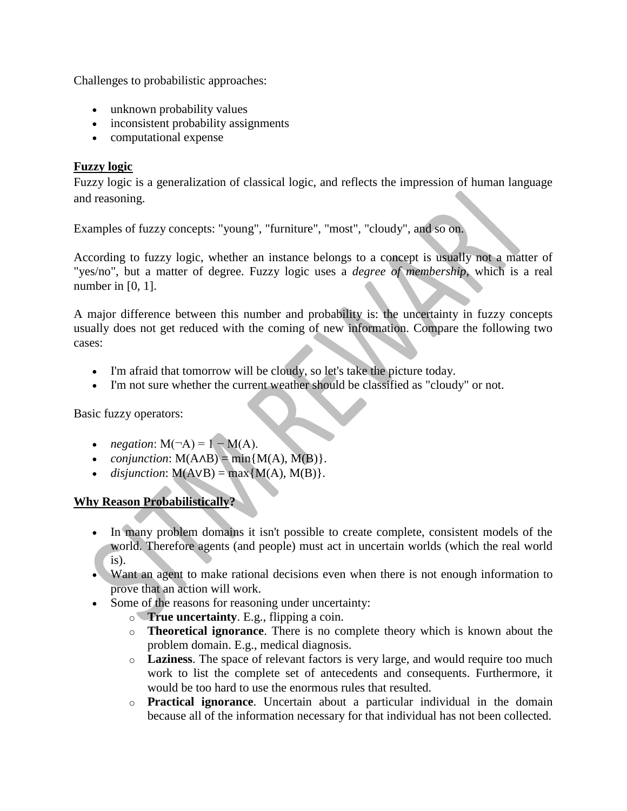Challenges to probabilistic approaches:

- unknown probability values
- inconsistent probability assignments
- computational expense

## **Fuzzy logic**

[Fuzzy logic](http://en.wikipedia.org/wiki/Fuzzy_logic) is a generalization of classical logic, and reflects the impression of human language and reasoning.

Examples of fuzzy concepts: "young", "furniture", "most", "cloudy", and so on.

According to fuzzy logic, whether an instance belongs to a concept is usually not a matter of "yes/no", but a matter of degree. Fuzzy logic uses a *degree of membership*, which is a real number in [0, 1].

A major difference between this number and probability is: the uncertainty in fuzzy concepts usually does not get reduced with the coming of new information. Compare the following two cases:

- I'm afraid that tomorrow will be cloudy, so let's take the picture today.
- I'm not sure whether the current weather should be classified as "cloudy" or not.

Basic fuzzy operators:

- *negation*:  $M(\neg A) = 1 M(A)$ .
- *conjunction*:  $M(A \wedge B) = min{M(A), M(B)}.$
- *disjunction*:  $M(A \vee B) = max{M(A), M(B)}.$

# **Why Reason Probabilistically?**

- In many problem domains it isn't possible to create complete, consistent models of the world. Therefore agents (and people) must act in uncertain worlds (which the real world is).
- Want an agent to make rational decisions even when there is not enough information to prove that an action will work.
- Some of the reasons for reasoning under uncertainty:
	- o **True uncertainty**. E.g., flipping a coin.
	- o **Theoretical ignorance**. There is no complete theory which is known about the problem domain. E.g., medical diagnosis.
	- o **Laziness**. The space of relevant factors is very large, and would require too much work to list the complete set of antecedents and consequents. Furthermore, it would be too hard to use the enormous rules that resulted.
	- o **Practical ignorance**. Uncertain about a particular individual in the domain because all of the information necessary for that individual has not been collected.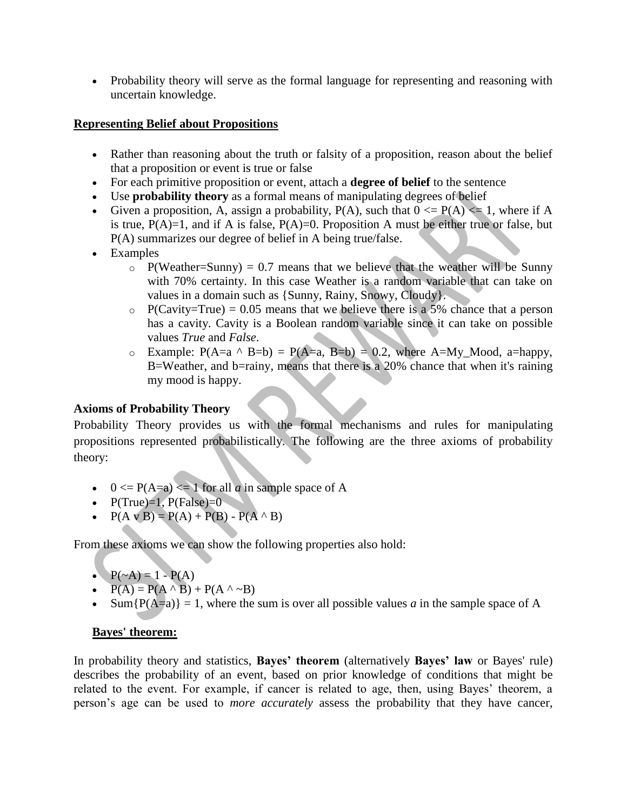• Probability theory will serve as the formal language for representing and reasoning with uncertain knowledge.

## **Representing Belief about Propositions**

- Rather than reasoning about the truth or falsity of a proposition, reason about the belief that a proposition or event is true or false
- For each primitive proposition or event, attach a **degree of belief** to the sentence
- Use **probability theory** as a formal means of manipulating degrees of belief
- Given a proposition, A, assign a probability,  $P(A)$ , such that  $0 \leq P(A) \leq 1$ , where if A is true,  $P(A)=1$ , and if A is false,  $P(A)=0$ . Proposition A must be either true or false, but P(A) summarizes our degree of belief in A being true/false.
- Examples
	- $\circ$  P(Weather=Sunny) = 0.7 means that we believe that the weather will be Sunny with 70% certainty. In this case Weather is a random variable that can take on values in a domain such as {Sunny, Rainy, Snowy, Cloudy}.
	- $\circ$  P(Cavity=True) = 0.05 means that we believe there is a 5% chance that a person has a cavity. Cavity is a Boolean random variable since it can take on possible values *True* and *False*.
	- o Example:  $P(A=a \land B=b) = P(A=a, B=b) = 0.2$ , where  $A=My_Mood$ ,  $a=hangpy$ , B=Weather, and b=rainy, means that there is a 20% chance that when it's raining my mood is happy.

# **Axioms of Probability Theory**

Probability Theory provides us with the formal mechanisms and rules for manipulating propositions represented probabilistically. The following are the three axioms of probability theory:

- $0 \leq P(A=a) \leq 1$  for all *a* in sample space of A
- $P(True)=1$ ,  $P(False)=0$
- $P(A \vee B) = P(A) + P(B) P(A \wedge B)$

From these axioms we can show the following properties also hold:

- $P(\sim A) = 1 P(A)$
- $P(A) = P(A \land B) + P(A \land \sim B)$
- Sum ${P(A=a)} = 1$ , where the sum is over all possible values *a* in the sample space of A

## **Bayes' theorem:**

In [probability theory](https://en.wikipedia.org/wiki/Probability_theory) and [statistics,](https://en.wikipedia.org/wiki/Statistics) **Bayes' theorem** (alternatively **Bayes' law** or [Bayes' rule\)](https://en.wikipedia.org/wiki/Bayes%27_rule) describes the [probability](https://en.wikipedia.org/wiki/Probability) of an [event,](https://en.wikipedia.org/wiki/Event_%28probability_theory%29) based on prior knowledge of conditions that might be related to the event. For example, if cancer is related to age, then, using Bayes' theorem, a person's age can be used to *more accurately* assess the probability that they have cancer,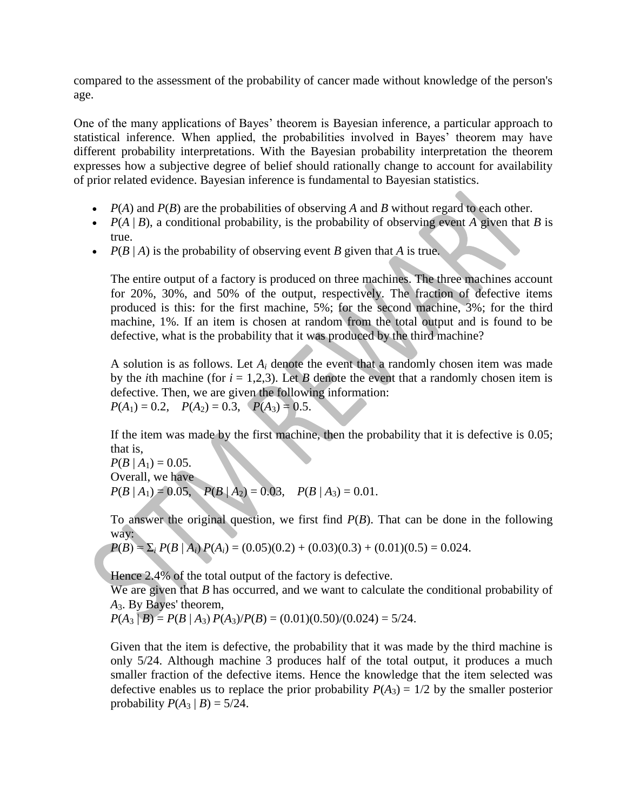compared to the assessment of the probability of cancer made without knowledge of the person's age.

One of the many applications of Bayes' theorem is Bayesian [inference,](https://en.wikipedia.org/wiki/Bayesian_inference) a particular approach to [statistical inference.](https://en.wikipedia.org/wiki/Statistical_inference) When applied, the probabilities involved in Bayes' theorem may have different [probability interpretations.](https://en.wikipedia.org/wiki/Probability_interpretation) With the [Bayesian probability](https://en.wikipedia.org/wiki/Bayesian_probability) interpretation the theorem expresses how a subjective degree of belief should rationally change to account for availability of prior related evidence. Bayesian inference is fundamental to [Bayesian statistics.](https://en.wikipedia.org/wiki/Bayesian_statistics)

- $P(A)$  and  $P(B)$  are the [probabilities](https://en.wikipedia.org/wiki/Marginal_probability) of observing *A* and *B* without regard to each other.
- $P(A | B)$ , a [conditional probability,](https://en.wikipedia.org/wiki/Conditional_probability) is the probability of observing event *A* given that *B* is true.
- $P(B | A)$  is the probability of observing event *B* given that *A* is true.

The entire output of a factory is produced on three machines. The three machines account for 20%, 30%, and 50% of the output, respectively. The fraction of defective items produced is this: for the first machine, 5%; for the second machine, 3%; for the third machine, 1%. If an item is chosen at random from the total output and is found to be defective, what is the probability that it was produced by the third machine?

A solution is as follows. Let  $A_i$  denote the event that a randomly chosen item was made by the *i*th machine (for  $i = 1,2,3$ ). Let *B* denote the event that a randomly chosen item is defective. Then, we are given the following information:  $P(A_1) = 0.2$ ,  $P(A_2) = 0.3$ ,  $P(A_3) = 0.5$ .

If the item was made by the first machine, then the probability that it is defective is 0.05; that is,

 $P(B \mid A_1) = 0.05$ . Overall, we have  $P(B | A_1) = 0.05$ ,  $P(B | A_2) = 0.03$ ,  $P(B | A_3) = 0.01$ .

To answer the original question, we first find *P*(*B*). That can be done in the following way:

$$
P(B) = \sum_i P(B \mid A_i) P(A_i) = (0.05)(0.2) + (0.03)(0.3) + (0.01)(0.5) = 0.024.
$$

Hence 2.4% of the total output of the factory is defective.

We are given that *B* has occurred, and we want to calculate the conditional probability of *A*3. By Bayes' theorem,

 $P(A_3 | B) = P(B | A_3) P(A_3) / P(B) = (0.01)(0.50) / (0.024) = 5/24.$ 

Given that the item is defective, the probability that it was made by the third machine is only 5/24. Although machine 3 produces half of the total output, it produces a much smaller fraction of the defective items. Hence the knowledge that the item selected was defective enables us to replace the prior probability  $P(A_3) = 1/2$  by the smaller posterior probability  $P(A_3 | B) = 5/24$ .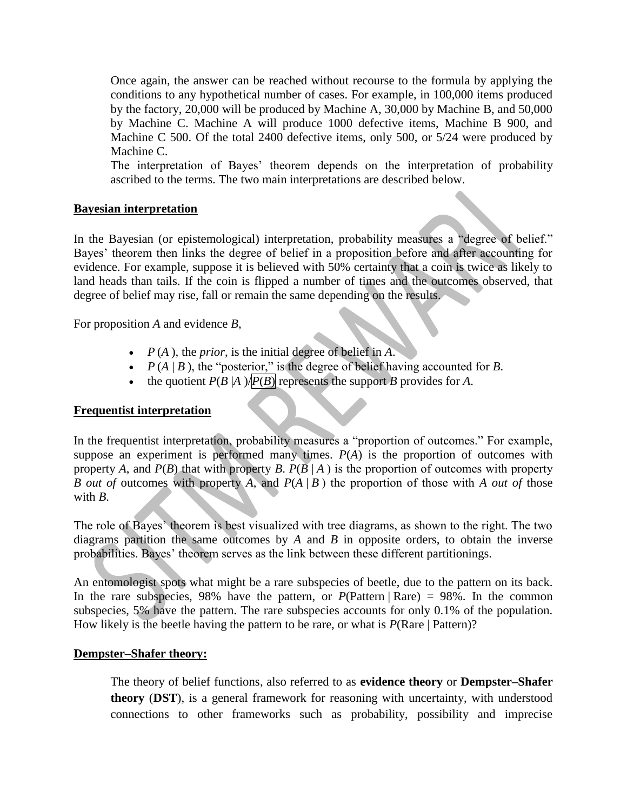Once again, the answer can be reached without recourse to the formula by applying the conditions to any hypothetical number of cases. For example, in 100,000 items produced by the factory, 20,000 will be produced by Machine A, 30,000 by Machine B, and 50,000 by Machine C. Machine A will produce 1000 defective items, Machine B 900, and Machine C 500. Of the total 2400 defective items, only 500, or 5/24 were produced by Machine C.

The interpretation of Bayes' theorem depends on the [interpretation of probability](https://en.wikipedia.org/wiki/Probability_interpretations) ascribed to the terms. The two main interpretations are described below.

#### **Bayesian interpretation**

In the [Bayesian \(or epistemological\) interpretation,](https://en.wikipedia.org/wiki/Bayesian_probability) probability measures a "degree of belief." Bayes' theorem then links the degree of belief in a proposition before and after accounting for evidence. For example, suppose it is believed with 50% certainty that a coin is twice as likely to land heads than tails. If the coin is flipped a number of times and the outcomes observed, that degree of belief may rise, fall or remain the same depending on the results.

For proposition *A* and evidence *B*,

- $P(A)$ , the *prior*, is the initial degree of belief in *A*.
- $P(A | B)$ , the "posterior," is the degree of belief having accounted for *B*.
- the quotient  $P(B|A)/P(B)$  represents the support *B* provides for *A*.

## **Frequentist interpretation**

In the [frequentist interpretation,](https://en.wikipedia.org/wiki/Frequentist_interpretation_of_probability) probability measures a "proportion of outcomes." For example, suppose an experiment is performed many times.  $P(A)$  is the proportion of outcomes with property *A*, and *P*(*B*) that with property *B*. *P*( $B \mid A$ ) is the proportion of outcomes with property *B out of* outcomes with property *A*, and *P*(*A* | *B* ) the proportion of those with *A out of* those with *B*.

The role of Bayes' theorem is best visualized with tree diagrams, as shown to the right. The two diagrams partition the same outcomes by *A* and *B* in opposite orders, to obtain the inverse probabilities. Bayes' theorem serves as the link between these different partitionings.

An [entomologist](https://en.wikipedia.org/wiki/Entomology) spots what might be a rare [subspecies](https://en.wikipedia.org/wiki/Subspecies) of [beetle,](https://en.wikipedia.org/wiki/Beetle) due to the pattern on its back. In the rare subspecies, 98% have the pattern, or  $P(\text{Pattern} | \text{Rare}) = 98\%$ . In the common subspecies, 5% have the pattern. The rare subspecies accounts for only 0.1% of the population. How likely is the beetle having the pattern to be rare, or what is  $P(\text{Rare} | \text{Pattern})$ ?

#### **Dempster–Shafer theory:**

The theory of belief functions, also referred to as **evidence theory** or **Dempster–Shafer theory** (**DST**), is a general framework for reasoning with uncertainty, with understood connections to other frameworks such as probability, possibility and imprecise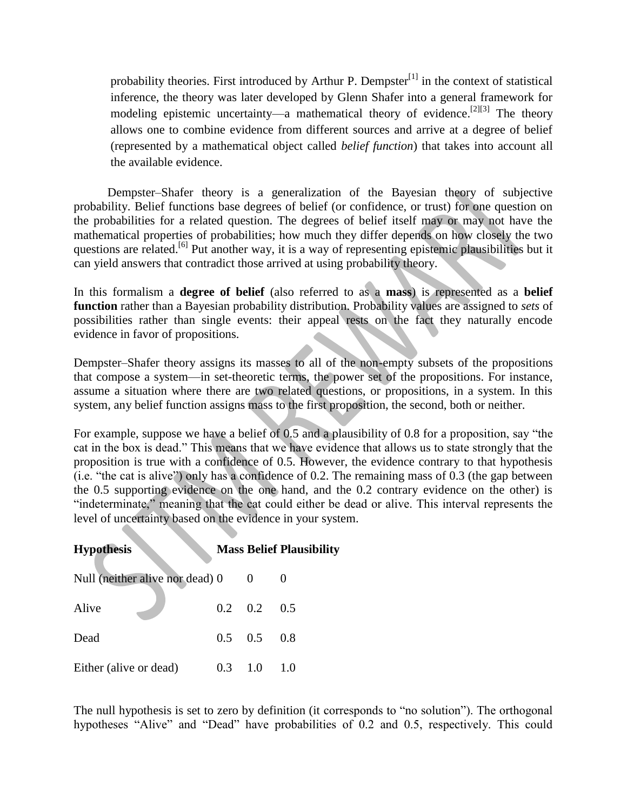probability theories. First introduced by [Arthur P. Dempster](https://en.wikipedia.org/wiki/Arthur_P._Dempster)<sup>[\[1\]](https://en.wikipedia.org/wiki/Arthur_P._Dempster)</sup> in the context of statistical inference, the theory was later developed by Glenn Shafer into a general framework for modeling epistemic uncertainty—a mathematical theory of [evidence.](https://en.wikipedia.org/wiki/Evidence) <sup>[\[2\]\[3\]](https://en.wikipedia.org/wiki/Dempster%E2%80%93Shafer_theory#cite_note-SH76-2)</sup> The theory allows one to combine evidence from different sources and arrive at a degree of belief (represented by a mathematical object called *belief function*) that takes into account all the available evidence.

 Dempster–Shafer theory is a generalization of the [Bayesian theory of subjective](https://en.wikipedia.org/wiki/Bayesian_probability)  [probability.](https://en.wikipedia.org/wiki/Bayesian_probability) Belief functions base degrees of belief (or confidence, or trust) for one question on the probabilities for a related question. The degrees of belief itself may or may not have the mathematical properties of probabilities; how much they differ depends on how closely the two questions are related.<sup>[\[6\]](https://en.wikipedia.org/wiki/Dempster%E2%80%93Shafer_theory#cite_note-SH02-6)</sup> Put another way, it is a way of representing [epistemic](https://en.wikipedia.org/wiki/Epistemology) plausibilities but it can yield answers that contradict those arrived at using [probability theory.](https://en.wikipedia.org/wiki/Probability_theory)

In this formalism a **degree of belief** (also referred to as a **mass**) is represented as a **belief function** rather than a [Bayesian](https://en.wikipedia.org/wiki/Bayesianism) [probability distribution.](https://en.wikipedia.org/wiki/Probability_distribution) Probability values are assigned to *sets* of possibilities rather than single events: their appeal rests on the fact they naturally encode evidence in favor of propositions.

Dempster–Shafer theory assigns its masses to all of the non-empty subsets of the propositions that compose a system—in [set-theoretic](https://en.wikipedia.org/wiki/Set_Theory) terms, the [power set](https://en.wikipedia.org/wiki/Power_set) of the propositions. For instance, assume a situation where there are two related questions, or propositions, in a system. In this system, any belief function assigns mass to the first proposition, the second, both or neither.

For example, suppose we have a belief of 0.5 and a plausibility of 0.8 for a proposition, say "the cat in the box is dead." This means that we have evidence that allows us to state strongly that the proposition is true with a confidence of 0.5. However, the evidence contrary to that hypothesis (i.e. "the cat is alive") only has a confidence of 0.2. The remaining mass of 0.3 (the gap between the 0.5 supporting evidence on the one hand, and the 0.2 contrary evidence on the other) is "indeterminate," meaning that the cat could either be dead or alive. This interval represents the level of uncertainty based on the evidence in your system.

| <b>Hypothesis</b>               |                 |                 | <b>Mass Belief Plausibility</b> |
|---------------------------------|-----------------|-----------------|---------------------------------|
| Null (neither alive nor dead) 0 |                 |                 |                                 |
| Alive                           |                 | $0.2 \quad 0.2$ | 0.5                             |
| Dead                            | $0.5 \quad 0.5$ |                 | 0.8                             |
| Either (alive or dead)          | 0.3             | 1.0             | 1.0                             |

The null hypothesis is set to zero by definition (it corresponds to "no solution"). The orthogonal hypotheses "Alive" and "Dead" have probabilities of 0.2 and 0.5, respectively. This could